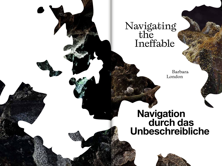## Navigating the Ineffable

 Barbara London

# **Navigation durch das Unbeschreibliche**

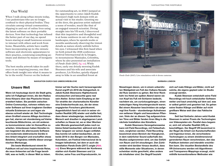## Our World

When I walk along urban streets today, I see pedestrians who are no longer confined to their physical bodies. They circulate among virtual communities, slipping in and out of online lives using the latest software on their portable devices. Now that technology has infused the better part of our day, we spend hours staring at small luminous screens to interact with others and work from home. Meanwhile, artists have readily been incorporating up-to-the-minute software and electronic apparatuses to their practice, construing something animate and distinct by means of inorganic tools.

The best media artwork takes its audience on an inspiring journey, one that offers fresh insight into what it means to be in the world. Forever on the lookout

for outstanding art, in 2018 I jumped at the opportunity to enter Jakob Kudsk Steensen's high-tech domain with an actual visit to his studio. Greeting me at the door, the gracious artist radiated a sense of wonder, much like that of an engaged research scientist. Diving straight into his VR work, I discovered that this inquisitive and thoughtful soul is at home outdoors in out-of-the-way landscapes, where he spends weeks or months assiduously observing the tiniest details as nature slowly unfolds before his eyes. I witnessed this first-hand when we both joined the 2018 conference Festival Internacional de la Imagen, in mountainous Manizales, Colombia, where he also presented an installation of *Pando Endo* (2017, fig. xx). While there, early one drizzly morning Kudsk Steensen and his wife and associate producer, Liz Kircher, quietly slipped away to hike in an unsullied forest at

**NAVIGATION DURCH DAS UNBESCHREIBLICHE**

### **Unsere Welt**

**Wenn ich heutzutage durch die Stadt gehe, sehe ich Fußgänger:innen, die den Radius ihres Körpers über das Physische hinaus erweitert haben. Sie pendeln zwischen Online-Communitys, nehmen mittels neuester Software auf ihren tragbaren Geräten virtuelle Existenzen an und legen sie ebenso schnell wieder ab. Seit Technologie einen Großteil unseres Alltags durchdrungen hat, starren wir stundenlang auf kleine leuchtende Bildschirme, um mit anderen zu kommunizieren oder im Homeoffice zu arbeiten. Unterdessen haben Künstler:innen begeistert die allerneueste Software und modernste elektronische Geräte in ihre Arbeit integriert und erschaffen etwas Belebtes, Originäres mithilfe dieser anorganischen Werkzeuge.** 

**Die beste Medienkunst nimmt ihr Publikum mit auf eine inspirierende Reise, die neue Antworten auf die Frage bereithält, was es heißt, in dieser Welt zu leben.** 

**Immer auf der Suche nach herausragender Kunst ergriff ich 2018 die Gelegenheit, in Jakob Kudsk Steensens Hightechzone einzutauchen und besuchte ganz real sein Atelier. Schon beim Empfang an der Tür strahlte der charismatische Künstler eine Entdeckerfreude aus, die der eines engagierten Forschers gleichkommt. Augenblicklich fand ich mich in seiner virtuellen Realität (VR) wieder und stellte fest, dass dieser wissbegierige, nachdenkliche Mensch weit draußen in abgelegenen Landschaften zu Hause ist, wo er über Wochen oder Monate gewissenhaft jedes noch so kleine Detail beobachtet, während sich die Natur langsam vor seinen Augen entfaltet. Das konnte ich selbst beobachten, als wir beide 2018 in den Bergen von Manizales, Kolumbien, am Festival Internacional de la Imagen teilnahmen, bei dem er auch die Installation** *Pando Endo* **(2017) zeigte (Abb. xx). Eines Morgens während der Konferenz stahlen sich Kudsk Steensen und Liz** 

**Kircher, seine Frau und Koproduzentin, im** 



*Pando Endo* (2017). Live simulation with 4 drone cameras.

#### **BARBARA LONDON**

**Nieselregen davon, um in einem unberührten Waldgebiet am Fuß des Vulkans Nevado del Ruiz wandern zu gehen. Bei ihrer Rückkehr ins Hotel am späten Abend waren sie von Kopf bis Fuß mit Schlamm bedeckt, nachdem sie, um zurückzugelangen, einen matschigen Hang hinuntergerutscht waren. Bei einem Absacker beschrieben sie aufgeregt ihre Funde – stundenlange Aufnahmen von seltenen Vögeln und besonderen Pflanzen. Viele der an diesem Tag aufgezeichneten Töne und Bilder fanden ihren Weg in die nächste Installation des Künstlers.**

**Kudsk Steensens Herangehensweise kann mit Field Recordings, mit Feldaufnahmen, verglichen werden. Field Recording bezeichnet einen Bereich der Klangkunst, in dem natürlicher Sound außerhalb des Studios aufgenommen wird, um das Gefühl von Raum und Ort einzufangen. Den Zuhörenden wird darüber hinaus deutlich, dass stille Momente oder Situationen, in denen scheinbar nichts geschieht, alles andere als inhaltsleer sind. Der Begriff bezieht** 

**sich auf reale Klänge und Bilder, nicht auf solche, die eigens geplant oder im Studio erzeugt werden.**

**Kudsk Steensen entwickelt seine Field Recordings mit hoch entwickelter Software weiter und baut umsichtig auf dem auf, was er selbst gehört und gesehen hat. So gehen seine finalen Klänge und Bilder auf nicht greifbare Weise weit über das Faktische hinaus.**

**Seit fast fünfzehn Jahren setzt Kudsk Steensen in seiner Praxis die Technologien von Videospielen ein. Parallel dazu begann er, sich mit virtueller Realität (VR) zu beschäftigen. Der Begriff VR bezeichnet in der Regel die Arbeit von Kunstschaffenden und Ingenieur:innen, die verschiedene Technologien zu einem dreidimensional gerenderten Raum verschmelzen, den das Publikum betreten und interaktiv erschließen kann. Die visuellen Bestandteile des VR-Universums werden mit Algorithmen und Transparenz-Mappings erzeugt, nicht mithilfe konventionellerer Methoden wie**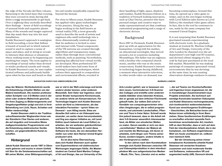the edge of the Nevado del Ruiz volcano. Returning to the hotel later that evening, they were covered in mud, having slid down a soggy mountainside to get back. Over a nightcap they excitedly described their findings – hours of field recordings of unusual birds and exquisite plants. Many of the sounds and images captured that day made their way into his next installation.

Kudsk Steensen's approach is analogous to field recording, a term that defines a branch of sound art in which natural sound is used to capture a sense of space and place, and in doing so reveals to listeners that silences or situations where nothing seems to be happening are anything but empty. The term applies to recordings of actual rather than devised or studio produced sounds and visuals. In Kudsk Steensen's case, he uses sophisticated software and judiciously builds upon what he has seen and heard so that

his end results inexplicably expand far beyond the factual.

For close to fifteen years, Kudsk Steensen has applied video game technologies to his practice. Along the way, he began working in the field known as virtual reality (VR), a term generally used to describe the work of artists and engineers who meld technology into a three-dimensionally rendered space that its audience is invited to enter and interact with. Visual components of the VR universe are created through algorithms and transparency maps, rather than through more conventional methods, such as painting. Nevertheless, painting has affected how virtual worlds are developed. Most professional 3D world makers have had some form of training in painting techniques, which colours their approach to composition and environmental effects, revealed in

#### **NAVIGATION DURCH DAS UNBESCHREIBLICHE**

**etwa der Malerei. Nichtsdestotrotz wurde die Entwicklung virtueller Welten von der Malerei beeinflusst. Die meisten professionellen Schöpfer von 3-D-Welten sind in der einen oder anderen Maltechnik geschult, die ihren Zugang zu Bildarrangements und Umgebungseffekten prägt und sich in ihrer Behandlung von Licht, Raum, Schatten und Wetter niederschlägt.** 

**Kudsk Steensen steht in der Tradition zukunftsweisender Wegbereiter:innen wie der Künstlerin Char Davies und anderen, die auf singuläre und innovative Weise maßgeschneidertes Programmieren und die Entwicklung elektronischer Geräte nutzten, um gegenständliche Kunst zu schaffen.**

## **Hintergrund**

**Jakob Kudsk Steensen wurde 1987 in Dänemark geboren und wuchs in einem Umfeld mit Sinn für die Geisteswissenschaften auf. Mit seiner Mutter, einer Bildungssoziologin,** 

**war er viel in der Welt unterwegs und lernte andere Länder kennen, unter anderem Mosambik. Sein Vater war Ingenieur, einer seiner Brüder komponierte Kirchenmusik, ein anderer lehrte am Konservatorium. Für Technologie begann sich Kudsk Steensen schon als Kind zu interessieren, als das interaktive Fernsehen – sprich Video-on-Demand – zum Alltag wurde. Etwa um dieselbe Zeit nahm er ein Videospiel auseinander, um weiter daran herumzubasteln, und fing aus eigener Initiative an, mit Level Edition (auch bekannt als Level Editor) zu arbeiten, der am weitesten gebräuchlichen Software für Videospiele. Er nutzt diese Software bis heute, die von demselben Hersteller nun unter dem Namen Unreal Engine produziert wird.**

**Es ist also keine Überraschung, dass sich Kudsk Steensen auch später vom Experimentieren mit elektronischen Werkzeugen angezogen fühlte. Als Masterstudent am Central Saint Martins College of Art and Design, das zur University of the**  their handling of light, space, shadows and weather. Kudsk Steensen follows in a tradition of forward-looking innovators, such as Char Davies, pioneers who have pursued unique and creative ways to make representational art that combines customised programming and a range of electronic devices.

## Background

Born 1987 in Denmark, Kudsk Steensen grew up with an appreciation for the humanities. Living with his mother, an educational sociologist, they moved around a lot to countries including Mozambique. His father was an engineer, with a brother who composed church music, another who was in the music conservatory. Kudsk Steensen's interest in technology began during childhood, a moment when interactive television, in other words video-on-demand, was

becoming commonplace. Around this time, he opened up a video game to tinker, and on his own began working with Level Edition (also known as Level Editor,) the standard video game editor. In fact, this is the tool he continues to use, made by the same company but renamed Unreal Engine.

It is not surprising that Kudsk Steensen gravitated towards experimenting with electronic tools. As a graduate student at Central St. Martins College of Art and Design, University of the Arts London he obsessed over the art department's new high-end 3D scanner, and devised robust imaging of a live crab he had just purchased at the local fish market. Meanwhile he was making paintings of computer-generated virtual environments that he was devising; at the same time, he was creating observation drawings outdoors in nature.

#### **BARBARA LONDON**

**Arts London gehört, war er besessen von dem neuen, hochmodernen 3-D-Scanner des Colleges und erstellte unter anderem stabile Abbilder eines lebenden Krebses, den er gerade auf dem örtlichen Fischmarkt gekauft hatte. Zur selben Zeit schuf er Gemälde von computergenerierten virtuellen Umgebungen, die er selbst programmierte, und zeichnete Landschaften, Pflanzen und Tiere in freier Natur. Schnell wurde ihm jedoch bewusst, dass er die Arbeit mit dem 3-D-Scanner wesentlich interessanter fand, als Bilder von simulierten Welten zu malen. Darum wandte er sich von dem "vermittelnden" Medium der Malerei ab und machte die Werkzeuge, mit denen er arbeitete, nicht länger zum Thema seiner Kunst, sondern begann, andere Inhalte in den Vordergrund zu stellen.** 

**In den Jahren nach dem Kunststudium bewegte sich Kudsk Steensen zwischen VR und Videospielproduktion in dem interdisziplinären Mix aus zeitgenössischen Medien – Musik, Film, Tanz, Literatur und so weiter** 

**–, der auf Teams von Kunstschaffenden und Ingenieur:innen angewiesen ist, die in monatelanger Zusammenarbeit neue Projekte entwickeln. Als technisch aufwendige Konstrukte bestehen Videospiele und Kudsk Steensens rechnergesteuerte, sich kontinuierlich weiterentwickelnde Kunst aus verschlungenen Erzählungen – Geschichten, die Betrachter:innen und Nutzer:innen vollständig in ihren Bann ziehen. Diese facettenreichen Erzählungen zu erschaffen erfordert spezielle Fachkenntnisse verschiedenster Art; insofern hilft es dem Künstler, dass er sich auf dem Feld der interdisziplinären Arbeit, die in der komplexen, von Software angetriebenen Welt von heute unerlässlich ist, vollkommen heimisch fühlt.**

**Bei der Umsetzung seiner immer komplexeren Kunstwerke arbeitet Kudsk Steensen mit versierten Kreativen zusammen und nutzt modernste Geräte und Softwares, insbesondere VR und**  *augmented reality* **(AR). Dennoch könnte**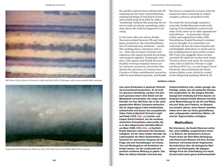

Bill Viola, *Chott el-Djerid (A Portrait in Light and Heat)* (1979). Videotape, color, mono sound; 28:00 minutes.



Caspar David Friedrich, *Der Mönch am Meer* (*The Monk by the Sea*) (1808–1810). Oil on canvas.

He quickly realised that working with 3D scanning was far more interesting than making paintings of simulated worlds, and turned away from what he calls a 'mediating' medium like painting. He set out to make art about something, rather than about the tools he happened to be using.

In the years after art school, Kudsk Steensen worked between VR and video game production, the interdisciplinary mix of contemporary mediums – music, film-making, dance, literature and so on – that rely on teams of artists and engineers who spend months developing new projects together. Technically complex, video games and Kudsk Steensen's steadily evolving computer driven art are intricate narratives, chronicles that absorb the attention of viewers/users. Creation of these multifaceted narratives calls for specialised expertise, and Kudsk

Steensen is completely at home with the teamwork that is essential in today's complex, software-propelled world.

To create his increasingly expansive artworks, Kudsk Steensen works with a group of accomplished creatives and some of the most up-to-date apparatuses and software – in particular virtual reality and augmented reality (AR). Nonetheless, Kudsk Steensen's mindset may be thought of as somewhat conventional. He has the same tenacity and indefatigable dedication to detail and to the metaphysical as some earlier artists: Bill Viola, who doggedly observed and recorded life eked out on the wind-swept Tunisian desert and made the essayistic video *Chott el-Djerid (A Portrait in Light and Heat)* (1979, fig. xx); and Caspar David Friedrich, who scrutinised the bleak, wintery Baltic coast, which he evoked in the allegorical painting *Monk by the* 

#### **BARBARA LONDON**

**man seine Denkweise in gewisser Hinsicht als konventionell bezeichnen. Er ist nicht nur genauso hartnäckig, sondern hat sich auch genauso eisern dem Detail und der Metaphysik verschrieben wie einige andere Künstler vor ihm: Bill Viola, der in der windgepeitschten Wüste Tunesiens beharrlich das ihr abgerungene Leben beobachtete, aufzeichnete und daraus das essayistische Video** *Chott el-Djerid (A Portrait in Light and Heat)* **(1979, Abb. xx) machte; und Caspar David Friedrich, der die trostlose, winterliche Ostseeküste untersuchte, die er in dem allegorischen Gemälde** *Mönch am Meer* **(1808–1810, Abb. xx) festhielt. Kudsk Steensen interessiert die Gewissenhaftigkeit, mit der diese beiden Künstler die Lebenszyklen der Natur beobachteten; ihn fasziniert ihr wachsamer Umgang mit der Frage, wie sich Vorstellungen von Chaos, Tod und Wiedergeburt mit Schönheit verbinden lassen, um der Landschaft eine poetisch erhabene Wirkung zu geben. Das Werk der älteren Künstler erforscht das** 

**Unbeschreibliche oder, anders gesagt, das Geistige, etwas, das mit seelischer Einsamkeit vergleichbar ist. Der jüngere Künstler bewegt sich eindeutig auf ihren Spuren. Im Gespräch betonte Kudsk Steensen kürzlich seine Wertschätzung für die Art und Weise, wie sich Viola und Friedrich, im Abstand von hundert Jahren, einen Namen machten, indem sie in den von ihnen geschaffenen,**  alles umfangenden natürlichen Welten "fil**mische" Eigenschaften verfolgten.**

## **Methodiken**

**Die Interessen, die Kudsk Steensen antreiben, sind vielfältig: ausgestorbene Arten; J. G. Ballard, der dystopische Science-Fiction-Autor der New-Wave-Bewegung; naturhistorische Museen mit ihren Schatzkammern voll konservierter Organismen, die Aufschluss über die biologische Welt geben; und Videospiele, die allgegenwärtige Form der Unterhaltung von heute. Zurzeit kreist seine ganze Aufmerksamkeit**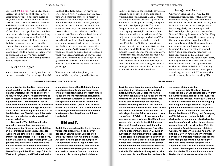*Sea* (1808–10, fig. xx). Kudsk Steensen's interest is in how both of these artists assiduously studied nature's cycles of life, with a keen eye on how notions of turmoil, death and rebirth can be fused with beauty and together imbue landscape with poetic grandeur. The work of the older artists probes the ineffable, in other words the spiritual, something analogous to emotional solitude. The younger artist clearly follows in their footsteps. In conversation recently, Kudsk Steensen noted that he appreciates how Viola and Friedrich, a century apart, each made a name for themselves by pursuing expansive, 'cinematic' qualities within the enveloping natural worlds they created.

## Methodologies

Kudsk Steensen is driven by such varied interests as nature's extinct species; J.G.

**um zwei Worte, die den Kern seiner aktuellen Installation bilden. Das eine, Berl, ist ein alter westslawischer und sorbischer**  Ausdruck für "Sumpf". Außerdem wird es **dem heutigen Berlin als historischer Name zugeschrieben. Der Ort Berl soll vor tausend Jahren entstanden sein, als verstreute Nomadenstämme die damalige Sumpflandschaft eines Tals durchquerten, das sich an den Rändern des Eisschilds gebildet hatte, der noch vor zehntausend Jahren Nordeuropa bedeckte.**

**Das zweite Wort ist Berghain, der Name des angesagten, pulsierenden Technoclubs, der für seine dunkle, höhlenartige Tanzfläche in der eindrucksvollen Turbinenhalle eines stillgelegten DDR-Heizkraftwerks berühmt ist – ein Teil des geräumigen Bauwerks wird gegenwärtig von LAS genutzt. Das Kofferwort Berghain wurde aus den Namen der beiden Berliner Ortsteile auf der Nord- und Südseite des legendären Clubs gebildet: Kreuzberg, früher in Westberlin gelegen, und Friedrichshain im** 

Ballard, the dystopian New Wave science-fiction writer; natural history museums with treasure troves of preserved organisms that shed light on the biological world; and video games, today's ubiquitous form of entertainment. His current preoccupation revolves around two words that are at the heart of his current installation. One is Berl, believed to be a word for swamps in the ancient west Slavic and Sorbian languages. It is also the word ascribed to the early name for Berlin. Berl as a location ostensibly came into being a thousand years ago, when disparate nomadic tribes traversed what was then a wetland, as they moved across a valley formed at the edges of the glacial mantle that is believed to have covered Northern Europe ten thousand years ago.

The second word is Berghain, the name of the popular, pulsating techno

#### **NAVIGATION DURCH DAS UNBESCHREIBLICHE**

**ehemaligen Osten. Das Gebäude, Schauplatz berüchtigter Endlospartys in einer ehemals geteilten Stadt, beherbergt aktuell Kudsk Steensens meditativen Naturraum. Sein flüchtiges Ambiente wird von minutiös konzipierten audiovisuellen Aufnahmen**  heraufbeschworen - "reale" und mutmaß**liche Konstellationen noch vorkommender sowie längst verschwundener Amphibien, Insekten und Feuchtgebiete der lokalen Landschaft.**

## **Bild und Ton**

**Kudsk Steensen, derzeit in Berlin lebend, verbrachte einen großen Teil des vergangenen Jahres in den verbliebenen alten Feuchtgebieten rund um die Stadt. Auf seinen Ausflügen in die sumpfigen Landschaften wurde er regelmäßig von Wissenschaftler:innen aus dem Museum für Naturkunde Berlin begleitet. Zusammen verbrachten sie Stunden damit, die Laute und die das Sumpfland bis heute** 

Image and Sound

nightclub famous for its dark, cavernous dance floor situated in the imposing turbine hall of a defunct East German heating and power station – part of the spacious building is currently occupied by Light Art Space (LAS). The word Berghain is a portmanteau of names identifying two neighbourhoods that flank the south and north sides of the nightclub: Kreuzberg, in what was West Berlin, and Friedrichshain, in what was East Berlin. With the notorious, nonstop partying in a once divided city being on hold, Halle am Berghain now houses Kudsk Steensen's contemplative environmental space, with its fugacious ambiance conjured from carefully considered audio-visual recordings of 'real' and conjectured configurations of living and bygone amphibians, insects and wetlands from the local area.

## **BARBARA LONDON**

**bevölkernden Organismen zu untersuchen und über die Frühgeschichte des Ortes nachzudenken. Die Gespräche hatten wesentlichen Einfluss auf Kudsk Steensens Umgang mit seinen Feldaufnahmen, die er und sein Team weiter bearbeiteten, um das Material gekonnt zu der dichten audiovisuellen und räumlichen Struktur der Installation** *Berl-Berl* **zu verflechten. Die fein abgestimmten Bilder schimmern, wenn sie auf den LED-Bildschirmen auftauchen und wieder verschwinden. Die Bildschirme passen sich perfekt in das Gebäude ein. Sie verströmen Licht und verleihen der Erfahrung der Umgebung eine Form. Der größte Bildschirm stellt einen Bezug zur Landschaftsmalerei her und präsentiert ein langsames, ganzheitliches Bild von der Welt. Die kleinen Bildschirme zeigen unterschiedlichste Detailansichten der Sumpflandschaft vom überschaubaren Maßstab einer Pflanze bis zur Himmelsansicht. Die virtuelle Welt erlaubt es Perspektiven einzunehmen, die dem Menschen andernfalls** 

Currently residing in Berlin, Kudsk Steensen spent much of the last year burrowed deeply into what remains of the ancient wetlands around the city. On his excursions into the swampy areas, he has regularly been accompanied by knowledgeable specialists from the Natural History Museum in Berlin. They have spent hours together investigating the sounds and the organisms that continue to populate the swampland, contemplating the location's ancient history. Their conversations shaped how Kudsk Steensen worked with his field recordings, as he and his team have been elaborating upon them, deftly weaving the material into what is the dense, audio-visual and spatial fabric of the installation *Berl-Berl*. The finely tuned visuals shimmer as they appear and disappear on the LED screens that meld perfectly into the building. The

**verborgen bleiben würden.**

**Im ersten Schritt entwarf Kudsk Steensen die 3-D-Landschaft, die** *Berl-Berl* **als Komposition zugrunde liegt – Kontext und Behälter für alles, was folgte. Dann lud er seine Mitarbeiter:innen zur Beteiligung und Ausgestaltung all dessen ein, was jetzt in dem Raum existiert. Oder anders gesagt, Kudsk Steensen und sein Team haben den Raum mit Klang und Bewegung gefüllt. Mit nahezu jedem Objekt ist ein Geräusch verbunden, und alle Geräusche reagieren auf die virtuellen Kamerabewegungen innerhalb der virtuellen Welt, die sorgsam im Ausstellungsraum platziert wurden. Auf diese Weise sind Kamera, Ton und die 3-D-Welt miteinander verknüpft. Für den Ton arbeitete Kudsk Steensen mit dem Klangkünstler und Sounddesigner Matt McCorkle und der Sängerin Arca zusammen. Die Tier- und Naturgeräusche stammen überwiegend aus dem bedeutenden Archiv des Museums für Naturkunde Berlin. Kudsk Steensen vermischte die**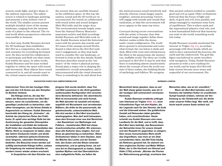screens exude light, and give shape to the ambient experience. The tallest screen is related to landscape painting, and presents a slow, holistic view of the world. The smaller screens present multiple detailed views of the swamp landscape, ranging from the intimate scale of a plant to the ethereal. The virtual world allows perspectives otherwise inaccessible to humans.

As a first step, Kudsk Steensen devised the 3D landscape that establishes *Berl-Berl* as a composition, the context and container for everything developed next. He then invited his collaborators to participate and flesh out what exists now within the space. In other words, Kudsk Steensen and his team worked together to imbue the space with sound and movement. Most objects have sound connected to it, and all sounds react to the virtual camera movements within

the screens that are carefully situated in the exhibition space. In this way the camera, sound and the 3D world are interconnected. For sound, he collaborated with sound artist and sound designer Matt McCorkle and the singer Arca. The environmental sounds largely come from the Natural History Museum's important archive and field recordings Kudsk Steensen and McCorkle took on site. Kudsk Steensen mixed the historical tones with his present-day sounds and 3D scans of the swamps around Berlin. Sound is what drives the *Berl-Berl* audience's engagement, as they step backward to consider the vast landscape, or forward to look at the fine details. Kudsk Steensen describes sound as the 'animator' of the visitor's physical journey. Sound plays a major role in shaping the installation's overall atmosphere, and is interconnected with the visual elements. There is something to be said about how

#### **NAVIGATION DURCH DAS UNBESCHREIBLICHE**

**historischen Töne mit den heutigen Klängen und den 3-D-Scans aus den Sümpfen im Berliner Umland.**

**Die Klänge sind es, die das Verhalten der Besucher:innen von** *Berl-Berl* **steuern, wenn sie zurücktreten, um die gewaltige Landschaft zu betrachten, oder näher herangehen, um die feinen Details in Augenschein zu nehmen. Kudsk Steensen**  beschreibt den Klang als "Animator", als **Antrieb der physischen Reise des Publikums. Er spielt eine wichtige Rolle bei der Ausformung der gesamten Atmosphäre der Installation und bildet die treibende Kraft hinter den visuellen Bestandteilen des Werks. Nicht zu vergessen ist dabei, dass das Gehirn Geräusche intuitiv und direkt verarbeitet, während optische Eindrücke einer längeren, rationalen Verarbeitung bedürfen. Die Besucher:innen werden auf zufällig wechselnde Klänge treffen, sodass die Umgebung nie zweimal dieselbe ist, sondern immer wieder anders erscheint.**

**In Gesprächen mit dem Künstler aus** 

**jüngerer Zeit wurde deutlich, dass Ton und Bild zusammen in der dicht gewebten audiovisuellen Konfiguration drei verschiedene Bereiche definieren: Die oberirdische Welt ist monumental und recht formal; die Welt darunter ist nasskalt und dunkel, angefüllt mit Wurzelwerk und verrottenden Blättern; die dritte ist die paranormale, die geheimnisvolle, unbeschreibliche Welt. Alle drei werden in** *Berl-Berl* **anschaulich wiedergegeben. Man darf wohl behaupten, dass dem Konzept einer aus drei Bereichen – den Bausteinen von Mythologie und Folklore – bestehenden Welt fast etwas Anachronistisches anhaftet. Wir erkennen, dass alte Kulturen dazu neigten, Gut und Böse als gleichwertig zu betrachten. Ältere Zivilisationen lebten in dem Glauben, dass die Mächte des Lichts und der Dunkelheit, des Guten und des Bösen einander entsprachen, und es gelang ihnen, sie auf eine Art im Gleichgewicht zu halten. Dabei spielten Mythen und das Übernatürliche eine maßgebliche Rolle, sie ließen die** 

the mind processes sound intuitively and directly, whereas visual images require lengthier, rational processing. Viewers will engage with sounds and visuals that randomise, so that the environment will never appear in the same way twice.

Conveyed during recent conversations with the artist, it became clear that sound and image together define three distinct realms within the dense, audio-visual configuration. The world above ground is monumental and somewhat formal; the one below is dank and dark, filled with roots and rotting leaves; the third is the paranormal, the mysterious, ineffable world. The three are vividly portrayed in *Berl-Berl*. It may be said that there is something almost anachronistic about the concept of how the world consists of three realms, the building blocks of mythology and folklore. We recognise

that ancient cultures tended to consider good and evil as equal. Older civilisations believed that the forces of light and dark, of good and evil, were parallel, and always managed to maintain some form of equilibrium. This is where myth and the supernatural played a vital role, and is how humankind believed that harmony can exist in the world, something sorely lost today.

Kudsk Steensen recently mentioned his interest in Triglav (fig. xx), an archaic personage with three heads, which are said to have represented the heavens, the earth and the underworld. The god-like figure was believed to assist travellers with navigation. Today, Kudsk Steensen presents us with a new roadmap for our world, and he hopes *Berl-Berl* will help viewers become more aware and respectful of our environment. His

#### **BARBARA LONDON**

**Menschheit daran glauben, dass es auf der Welt etwas geben konnte, was wir in der heutigen Zeit schmerzlich vermissen: Harmonie.**

**Kudsk Steensen erwähnte unlängst sein Interesse an Triglaw (Abb. xx), einer frühzeitlichen Figur mit drei Köpfen, die der Legende nach für den Himmel, die Erde und die Unterwelt stehen. Die gottähnliche Gestalt soll Reisenden dabei geholfen haben, sich zurechtzufinden. Heute schenkt uns Kudsk Steensen eine neue Landkarte für die Welt, und er hofft, dass**  *Berl-Berl* **dazu beiträgt, das Bewusstsein der Betrachter:innen für unsere Umwelt und den Respekt ihr gegenüber zu steigern. Sein neues monumentales Werk streift das Ungreifbare, was mich an ein Zitat zurückdenken lässt, das Bill Viola häufig als Referenz genannt hat. Es stammt von dem englischen Dichter und Maler William Blake, der in** *Die Hochzeit von Himmel und Hölle* **(1793) schrieb: "Würden die Pforten der Wahrnehmung gereinigt, erschiene den** 

**Menschen alles, wie es ist: unendlich."**

**Wenn wir** *Berl-Berl* **betreten und die Existenz der belebten Kultur im urzeitlichen Sumpf hautnah erleben, nehmen wir Verbindung zu der Geisterwelt auf, die direkt unter unseren Füßen liegt. Wer weiß, vielleicht wacht unsere Seele einfach auf.**